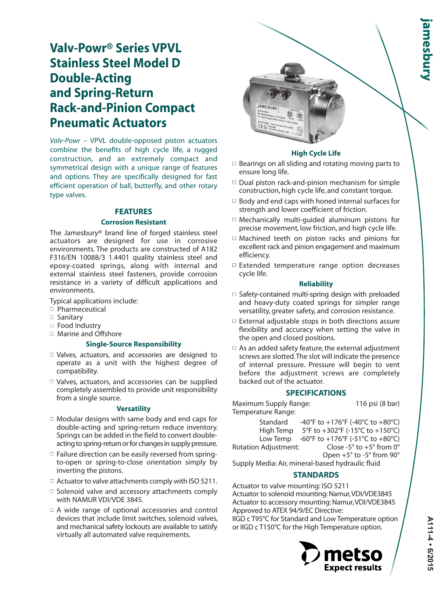# **Valv-Powr® Series VPVL Stainless Steel Model D Double-Acting and Spring-Return Rack-and-Pinion Compact Pneumatic Actuators**

*Valv-Powr* – VPVL double-opposed piston actuators combine the benefits of high cycle life, a rugged construction, and an extremely compact and symmetrical design with a unique range of features and options. They are specifically designed for fast efficient operation of ball, butterfly, and other rotary type valves.

# **FEATURES**

#### **Corrosion Resistant**

The Jamesbury® brand line of forged stainless steel actuators are designed for use in corrosive environments. The products are constructed of A182 F316/EN 10088/3 1.4401 quality stainless steel and epoxy-coated springs, along with internal and external stainless steel fasteners, provide corrosion resistance in a variety of difficult applications and environments.

Typical applications include:

- $\neg$  Pharmeceutical
- <sup>n</sup> Sanitary
- $\Box$  Food Industry
- $\Box$  Marine and Offshore

# **Single-Source Responsibility**

- $\Box$  Valves, actuators, and accessories are designed to operate as a unit with the highest degree of compatibility.
- $\Box$  Valves, actuators, and accessories can be supplied completely assembled to provide unit responsibility from a single source.

# **Versatility**

- $\Box$  Modular designs with same body and end caps for double-acting and spring-return reduce inventory. Springs can be added in the field to convert doubleacting to spring-return or for changes in supply pressure.
- $\square$  Failure direction can be easily reversed from springto-open or spring-to-close orientation simply by inverting the pistons.
- $\Box$  Actuator to valve attachments comply with ISO 5211.
- $\Box$  Solenoid valve and accessory attachments comply with NAMUR VDI/VDE 3845.
- $\Box$  A wide range of optional accessories and control devices that include limit switches, solenoid valves, and mechanical safety lockouts are available to satisfy virtually all automated valve requirements.



# **High Cycle Life**

- $\Box$  Bearings on all sliding and rotating moving parts to ensure long life.
- $\Box$  Dual piston rack-and-pinion mechanism for simple construction, high cycle life, and constant torque.
- $\Box$  Body and end caps with honed internal surfaces for strength and lower coefficient of friction.
- $\Box$  Mechanically multi-guided aluminum pistons for precise movement, low friction, and high cycle life.
- $\Box$  Machined teeth on piston racks and pinions for excellent rack and pinion engagement and maximum efficiency.
- $\square$  Extended temperature range option decreases cycle life.

# **Reliability**

- $\Box$  Safety-contained multi-spring design with preloaded and heavy-duty coated springs for simpler range versatility, greater safety, and corrosion resistance.
- $\Box$  External adjustable stops in both directions assure flexibility and accuracy when setting the valve in the open and closed positions.
- $\Box$  As an added safety feature, the external adjustment screws are slotted. The slot will indicate the presence of internal pressure. Pressure will begin to vent before the adjustment screws are completely backed out of the actuator.

# **SPECIFICATIONS**

Maximum Supply Range: 116 psi (8 bar) Temperature Range:

| Standard             | -40°F to +176°F (-40°C to +80°C)                                                   |
|----------------------|------------------------------------------------------------------------------------|
| High Temp            | 5°F to +302°F (-15°C to +150°C)                                                    |
|                      | Low Temp $-60^{\circ}$ F to $+176^{\circ}$ F ( $-51^{\circ}$ C to $+80^{\circ}$ C) |
| Rotation Adiustment: | Close -5 $\degree$ to +5 $\degree$ from 0 $\degree$                                |

Open +5° to -5° from 90°

Supply Media: Air, mineral-based hydraulic fluid

# **STANDARDS**

Actuator to valve mounting: ISO 5211 Actuator to solenoid mounting: Namur, VDI/VDE3845 Actuator to accessory mounting: Namur, VDI/VDE3845 Approved to ATEX 94/9/EC Directive:

IIGD c T95°C for Standard and Low Temperature option or IIGD c T150°C for the High Temperature option.

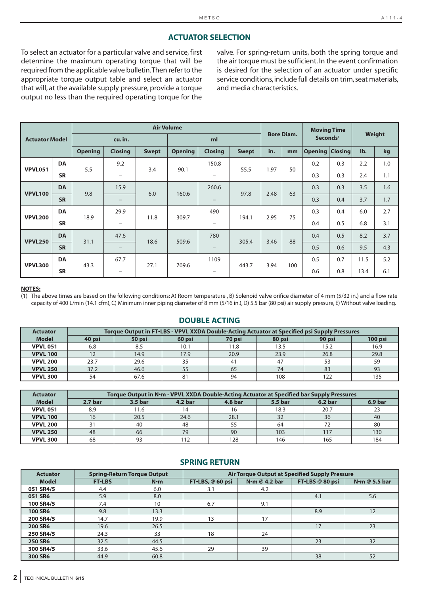# **ACTUATOR SELECTION**

To select an actuator for a particular valve and service, first determine the maximum operating torque that will be required from the applicable valve bulletin. Then refer to the appropriate torque output table and select an actuator that will, at the available supply pressure, provide a torque output no less than the required operating torque for the

valve. For spring-return units, both the spring torque and the air torque must be sufficient. In the event confirmation is desired for the selection of an actuator under specific service conditions, include full details on trim, seat materials, and media characteristics.

|                       |           |                |                          |              | <b>Air Volume</b> |                          |              |      |                   | <b>Moving Time</b>     |     |      |        |
|-----------------------|-----------|----------------|--------------------------|--------------|-------------------|--------------------------|--------------|------|-------------------|------------------------|-----|------|--------|
| <b>Actuator Model</b> |           |                | cu. in.                  |              |                   | ml                       |              |      | <b>Bore Diam.</b> | Seconds <sup>1</sup>   |     |      | Weight |
|                       |           | <b>Opening</b> | <b>Closing</b>           | <b>Swept</b> | <b>Opening</b>    | <b>Closing</b>           | <b>Swept</b> | in.  | mm                | <b>Opening Closing</b> |     | lb.  | kg     |
| <b>VPVL051</b>        | <b>DA</b> | 5.5            | 9.2                      | 3.4          | 90.1              | 150.8                    | 55.5         | 1.97 | 50                | 0.2                    | 0.3 | 2.2  | 1.0    |
|                       | <b>SR</b> |                | $\overline{\phantom{m}}$ |              |                   | $\qquad \qquad -$        |              |      |                   | 0.3                    | 0.3 | 2.4  | 1.1    |
| <b>VPVL100</b>        | <b>DA</b> | 9.8            | 15.9                     | 6.0          | 160.6             | 260.6                    | 97.8         | 2.48 | 63                | 0.3                    | 0.3 | 3.5  | 1.6    |
|                       | <b>SR</b> |                | $\overline{\phantom{m}}$ |              |                   | $\qquad \qquad -$        |              |      |                   | 0.3                    | 0.4 | 3.7  | 1.7    |
| <b>VPVL200</b>        | <b>DA</b> | 18.9           | 29.9                     | 11.8         | 309.7             | 490                      | 194.1        | 2.95 | 75                | 0.3                    | 0.4 | 6.0  | 2.7    |
|                       | <b>SR</b> |                | $\overline{\phantom{m}}$ |              |                   | $\overline{\phantom{m}}$ |              |      |                   | 0.4                    | 0.5 | 6.8  | 3.1    |
| <b>VPVL250</b>        | <b>DA</b> | 31.1           | 47.6                     | 18.6         | 509.6             | 780                      | 305.4        | 3.46 | 88                | 0.4                    | 0.5 | 8.2  | 3.7    |
|                       | <b>SR</b> |                | $\overline{\phantom{m}}$ |              |                   | $\overline{\phantom{m}}$ |              |      |                   | 0.5                    | 0.6 | 9.5  | 4.3    |
| <b>VPVL300</b>        | <b>DA</b> | 43.3           | 67.7                     | 27.1         | 709.6             | 1109                     |              |      | 100               | 0.5                    | 0.7 | 11.5 | 5.2    |
|                       | <b>SR</b> |                | $\overline{\phantom{m}}$ |              |                   | $\overline{\phantom{m}}$ | 443.7        | 3.94 |                   | 0.6                    | 0.8 | 13.4 | 6.1    |

#### **NOTES:**

(1) The above times are based on the following conditions: A) Room temperature , B) Solenoid valve orifice diameter of 4 mm (5/32 in.) and a flow rate capacity of 400 L/min (14.1 cfm), C) Minimum inner piping diameter of 8 mm (5/16 in.), D) 5.5 bar (80 psi) air supply pressure, E) Without valve loading.

#### **DOUBLE ACTING**

| <b>Actuator</b> |        | Torque Output in FT.LBS - VPVL XXDA Double-Acting Actuator at Specified psi Supply Pressures |        |        |        |        |           |
|-----------------|--------|----------------------------------------------------------------------------------------------|--------|--------|--------|--------|-----------|
| <b>Model</b>    | 40 psi | 50 psi                                                                                       | 60 psi | 70 psi | 80 psi | 90 psi | $100$ psi |
| <b>VPVL 051</b> | 6.8    | 8.5                                                                                          | 10.1   | 11.8   | 13.5   | 15.2   | 16.9      |
| <b>VPVL 100</b> | 12     | 14.9                                                                                         | 17.9   | 20.9   | 23.9   | 26.8   | 29.8      |
| <b>VPVL 200</b> | 23.7   | 29.6                                                                                         | 35     | 41     | 47     | 53     | 59        |
| <b>VPVL 250</b> | 37.2   | 46.6                                                                                         | 55     | 65     | 74     | 83     | 93        |
| <b>VPVL 300</b> | 54     | 67.6                                                                                         | 81     | 94     | 108    | 122    | 135       |

| <b>Actuator</b> |                    | Torque Output in N·m - VPVL XXDA Double-Acting Actuator at Specified bar Supply Pressures |                |                |         |                    |         |
|-----------------|--------------------|-------------------------------------------------------------------------------------------|----------------|----------------|---------|--------------------|---------|
| <b>Model</b>    | 2.7 <sub>bar</sub> | 3.5 bar                                                                                   | <b>4.2 bar</b> | <b>4.8 bar</b> | 5.5 bar | 6.2 <sub>bar</sub> | 6.9 bar |
| <b>VPVL 051</b> | 8.9                | 11.6                                                                                      |                | 16             | 18.3    | 20.7               | 23      |
| <b>VPVL 100</b> | 16                 | 20.5                                                                                      | 24.6           | 28.1           | 32      | 36                 | 40      |
| <b>VPVL 200</b> |                    | 40                                                                                        | 48             | 55             | 64      |                    | 80      |
| <b>VPVL 250</b> | 48                 | 66                                                                                        | 79             | 90             | 103     | 117                | 130     |
| <b>VPVL 300</b> | 68                 | 93                                                                                        | 112            | 128            | 146     | 165                | 184     |

### **SPRING RETURN**

| <b>Actuator</b> |                | <b>Spring-Return Torque Output</b> |                  |                       | <b>Air Torque Output at Specified Supply Pressure</b> |                       |
|-----------------|----------------|------------------------------------|------------------|-----------------------|-------------------------------------------------------|-----------------------|
| <b>Model</b>    | <b>FT</b> ·LBS | $N \cdot m$                        | FT.LBS, @ 60 psi | N $\cdot$ m @ 4.2 bar | FT.LBS @ 80 psi                                       | N $\cdot$ m @ 5.5 bar |
| 051 SR4/5       | 4.4            | 6.0                                | 3.1              | 4.2                   |                                                       |                       |
| 051 SR6         | 5.9            | 8.0                                |                  |                       | 4.1                                                   | 5.6                   |
| 100 SR4/5       | 7.4            | 10                                 | 6.7              | 9.1                   |                                                       |                       |
| <b>100 SR6</b>  | 9.8            | 13.3                               |                  |                       | 8.9                                                   | 12                    |
| 200 SR4/5       | 14.7           | 19.9                               | 13               | 17                    |                                                       |                       |
| <b>200 SR6</b>  | 19.6           | 26.5                               |                  |                       | 17                                                    | 23                    |
| 250 SR4/5       | 24.3           | 33                                 | 18               | 24                    |                                                       |                       |
| <b>250 SR6</b>  | 32.5           | 44.5                               |                  |                       | 23                                                    | 32                    |
| 300 SR4/5       | 33.6           | 45.6                               | 29               | 39                    |                                                       |                       |
| 300 SR6         | 44.9           | 60.8                               |                  |                       | 38                                                    | 52                    |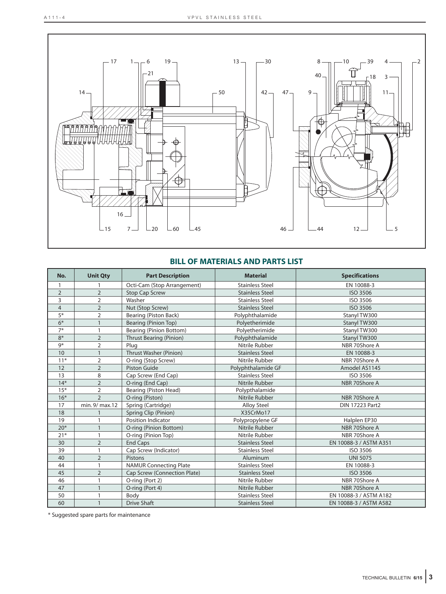

# **BILL OF MATERIALS AND PARTS LIST**

| No.            | <b>Unit Qty</b> | <b>Part Description</b>        | <b>Material</b>        | <b>Specifications</b>  |
|----------------|-----------------|--------------------------------|------------------------|------------------------|
| $\mathbf{1}$   |                 | Octi-Cam (Stop Arrangement)    | <b>Stainless Steel</b> | EN 10088-3             |
| 2              | $\overline{2}$  | <b>Stop Cap Screw</b>          | <b>Stainless Steel</b> | ISO 3506               |
| 3              | $\overline{2}$  | Washer                         | <b>Stainless Steel</b> | ISO 3506               |
| $\overline{4}$ | $\overline{2}$  | Nut (Stop Screw)               | <b>Stainless Steel</b> | ISO 3506               |
| $5*$           | 2               | Bearing (Piston Back)          | Polyphthalamide        | Stanyl TW300           |
| $6*$           | $\mathbf{1}$    | Bearing (Pinion Top)           | Polyetherimide         | Stanyl TW300           |
| $7*$           | 1               | <b>Bearing (Pinion Bottom)</b> | Polyetherimide         | Stanyl TW300           |
| $8*$           | $\overline{2}$  | <b>Thrust Bearing (Pinion)</b> | Polyphthalamide        | Stanyl TW300           |
| 9 <sup>*</sup> | $\overline{2}$  | Plug                           | Nitrile Rubber         | NBR 70Shore A          |
| 10             | $\mathbf{1}$    | Thrust Washer (Pinion)         | <b>Stainless Steel</b> | EN 10088-3             |
| $11*$          | $\overline{2}$  | O-ring (Stop Screw)            | Nitrile Rubber         | NBR 70Shore A          |
| 12             | $\overline{2}$  | <b>Piston Guide</b>            | Polyphthalamide GF     | Amodel AS1145          |
| 13             | 8               | Cap Screw (End Cap)            | <b>Stainless Steel</b> | ISO 3506               |
| $14*$          | $\overline{2}$  | O-ring (End Cap)               | Nitrile Rubber         | NBR 70Shore A          |
| $15*$          | 2               | Bearing (Piston Head)          | Polypthalamide         |                        |
| $16*$          | $\overline{2}$  | O-ring (Piston)                | Nitrile Rubber         | NBR 70Shore A          |
| 17             | min. 9/ max.12  | Spring (Cartridge)             | <b>Alloy Steel</b>     | <b>DIN 17223 Part2</b> |
| 18             |                 | Spring Clip (Pinion)           | X35CrMo17              |                        |
| 19             |                 | Position Indicator             | Polypropylene GF       | Halplen EP30           |
| $20*$          | $\mathbf{1}$    | O-ring (Pinion Bottom)         | Nitrile Rubber         | NBR 70Shore A          |
| $21*$          | 1               | O-ring (Pinion Top)            | Nitrile Rubber         | NBR 70Shore A          |
| 30             | $\overline{2}$  | <b>End Caps</b>                | <b>Stainless Steel</b> | EN 10088-3 / ASTM A351 |
| 39             | 1               | Cap Screw (Indicator)          | <b>Stainless Steel</b> | ISO 3506               |
| 40             | $\overline{2}$  | Pistons                        | Aluminum               | <b>UNI 5075</b>        |
| 44             | 1               | <b>NAMUR Connecting Plate</b>  | <b>Stainless Steel</b> | EN 10088-3             |
| 45             | $\overline{2}$  | Cap Screw (Connection Plate)   | <b>Stainless Steel</b> | <b>ISO 3506</b>        |
| 46             | 1               | O-ring (Port 2)                | Nitrile Rubber         | NBR 70Shore A          |
| 47             | $\mathbf{1}$    | O-ring (Port 4)                | Nitrile Rubber         | NBR 70Shore A          |
| 50             | 1               | Body                           | <b>Stainless Steel</b> | EN 10088-3 / ASTM A182 |
| 60             | $\mathbf{1}$    | <b>Drive Shaft</b>             | <b>Stainless Steel</b> | EN 10088-3 / ASTM A582 |

\* Suggested spare parts for maintenance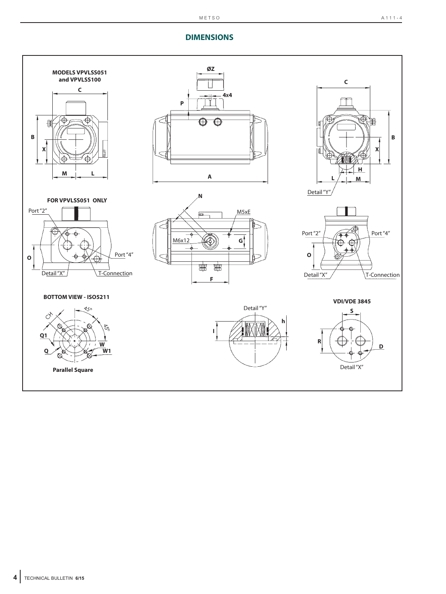# **DIMENSIONS**

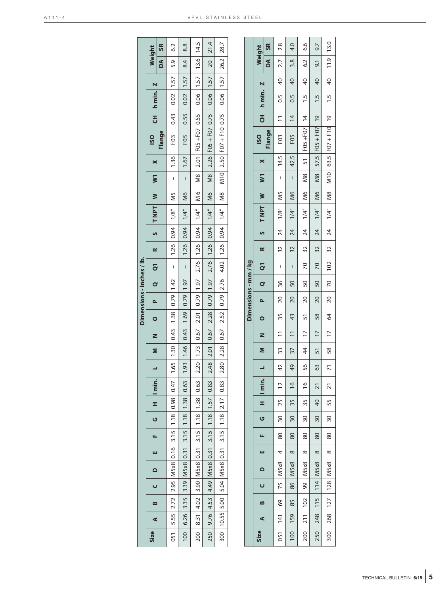|      |   |                                                        |          |   |   |          |                   |         |                               |   |   | Dimensions - inches / lb.                 |                |          |                          |                          |                                                                             |                             |                          |          |                             |      |                                                                           |              |               |
|------|---|--------------------------------------------------------|----------|---|---|----------|-------------------|---------|-------------------------------|---|---|-------------------------------------------|----------------|----------|--------------------------|--------------------------|-----------------------------------------------------------------------------|-----------------------------|--------------------------|----------|-----------------------------|------|---------------------------------------------------------------------------|--------------|---------------|
| Size | ⋖ | $\mathbf{\Omega}$                                      | $\Omega$ | ш | щ | <u>ט</u> | $H \parallel min$ |         |                               | s | z | $\circ$                                   | $\overline{P}$ | $\alpha$ | $\overline{Q}$           | œ                        | INPT W                                                                      |                             | $\overline{\mathbf{w}}$  | $\times$ | <b>ISO</b>                  |      | CH hmin. Z                                                                | Weight       |               |
|      |   |                                                        |          |   |   |          |                   |         |                               |   |   |                                           |                |          |                          |                          |                                                                             |                             |                          |          | Flange                      |      |                                                                           | ð            | $\frac{1}{2}$ |
| 051  |   | 5.55 2.72 2.95 M5x8 0.16 3.15 1.18 0.98                |          |   |   |          |                   | 0.47    |                               |   |   | $1.65$   1.30   0.43   1.38   0.79   1.42 |                |          |                          | $-$   1.26   0.94   1/8" |                                                                             | N <sub>5</sub>              | $\overline{\phantom{a}}$ | 1.36     | F <sub>03</sub>             | 0.43 | $0.02$   1.57                                                             | 5.9          | 6.2           |
| 100  |   | 6.26 3.35 3.39 M5x8 0.31 3.15 1.18 1.38                |          |   |   |          |                   | 0.63    | $1.93$   1.46   0.43          |   |   | $1.69$ 0.79 1.97                          |                |          | $-$   1.26   0.94   1/4" |                          |                                                                             | $\overline{\phantom{0}}$ M6 | $\frac{1}{2}$            | 1.67     | FO <sub>5</sub>             | 0.55 | $\begin{array}{ c c c c c c c } \hline 0.02 & 1.57 \\ \hline \end{array}$ | 84           | 8.8           |
| 200  |   | 8.31 4.02 3.90 M5x8 0.31 3.15 1.18                     |          |   |   |          | 1.38              | $-0.63$ |                               |   |   |                                           |                |          |                          |                          | $2.20$   1.73   0.67   2.01   0.79   1.97   2.76   1.26   0.94   1/4"   M 6 |                             |                          |          | M8 2.01 F05 +F07 0.55       |      | $\begin{bmatrix} 0.06 & 1.57 & 13.6 & 14.5 \end{bmatrix}$                 |              |               |
| 250  |   | 9.76 4.53 4.49 $\lfloor$ M5x8 $\rfloor$ 0.31 3.15 1.18 |          |   |   |          | 1.57              | 0.83    | $.48$   2.01<br>$\ddot{\sim}$ |   |   |                                           |                |          |                          |                          |                                                                             |                             |                          |          | M8 2.26 F05 + F07 0.75      |      | $0.06$   1.57                                                             | $\boxed{20}$ | 21.4          |
| 300  |   | 10.55   5.00   5.04   M5x8   0.31   3.15   1.18   2.17 |          |   |   |          |                   | 0.83    | 80 2.28<br>$\sim$             |   |   |                                           |                |          |                          |                          |                                                                             |                             |                          |          | $ $ M10 2.50 F07 + F10 0.75 |      | $0.06$   1.57                                                             | 26.2         | 28.7          |
|      |   |                                                        |          |   |   |          |                   |         |                               |   |   |                                           |                |          |                          |                          |                                                                             |                             |                          |          |                             |      |                                                                           |              |               |
|      |   |                                                        |          |   |   |          |                   |         |                               |   |   |                                           |                |          |                          |                          |                                                                             |                             |                          |          |                             |      |                                                                           |              |               |

|                      | Weight                                                                                       | SR             | 2.8              | 4.0                                                     | 6.6                         | 9.7                        |                                           |
|----------------------|----------------------------------------------------------------------------------------------|----------------|------------------|---------------------------------------------------------|-----------------------------|----------------------------|-------------------------------------------|
|                      |                                                                                              | $\overline{a}$ | 2.7              | $\begin{array}{ c c } \hline 3.8 \\ \hline \end{array}$ | 6.2                         | 9.1                        |                                           |
|                      |                                                                                              |                | 140              |                                                         | $\frac{40}{1}$              | $\frac{40}{1}$             |                                           |
|                      | CH h min. Z                                                                                  |                | $-0.5$           | $-0.5$                                                  | 1.5                         | $(1.5)^{-1}$               | $1.5$   40   11.9   13.0                  |
|                      |                                                                                              |                | $\frac{1}{2}$    | $\frac{4}{3}$                                           |                             |                            |                                           |
|                      | <b>SO</b>                                                                                    | Flange         | F <sub>03</sub>  | F <sub>05</sub>                                         | 51   FO5 +FO7   14          | M8   57.5   FO5 + FO7   19 | $1/4"$   M8   M10   63.5   F07 + F10   19 |
|                      |                                                                                              |                | 34.5             | 42.5                                                    |                             |                            |                                           |
|                      |                                                                                              |                | $\overline{1}$   | $\frac{1}{2}$                                           | MS                          |                            |                                           |
|                      |                                                                                              |                | IN <sub>5</sub>  | M6                                                      | $\overline{\phantom{1}}$ M6 | M6                         |                                           |
|                      | $Q \mid Q1 \mid R \mid S \mid TNP \mid W \mid W \mid X$                                      |                | 1/8''            | 1/4''                                                   | 1/4"                        | 1/4''                      |                                           |
|                      |                                                                                              |                | $\frac{1}{24}$   | $\frac{1}{24}$                                          | $\frac{1}{24}$              | $\frac{1}{24}$             | $\frac{1}{24}$                            |
|                      |                                                                                              |                | $\frac{32}{ }$   | $\frac{1}{32}$                                          | $\frac{32}{2}$              | $\frac{1}{32}$             | $-132$                                    |
|                      |                                                                                              |                | $\overline{1}$   | $\frac{1}{2}$                                           | $\overline{70}$             | $\overline{70}$            |                                           |
|                      |                                                                                              |                | 36               | $\frac{50}{50}$                                         | 50                          | 50                         |                                           |
| Dimensions - mm / kg | $\overline{\phantom{a}}$                                                                     |                | 20               | $\overline{\phantom{0}20}$                              | $\overline{20}$             | $\frac{1}{20}$             | $20$ 70 102                               |
|                      | $\overline{\phantom{0}}$                                                                     |                | 35               | 11   43                                                 | 51                          | 58                         | 17 64                                     |
|                      | $\begin{array}{c c c c c} \n\hline\n\text{L} & \text{M} & \text{N} & \text{I} \n\end{array}$ |                | $\frac{1}{1}$    |                                                         | $\frac{1}{2}$               | $\vert$ 17                 |                                           |
|                      |                                                                                              |                | $\frac{33}{2}$   | 37                                                      | $\frac{44}{1}$              | $\overline{51}$            | 71 58                                     |
|                      |                                                                                              |                | 42               | 49                                                      | 56                          | 63                         |                                           |
|                      | $H$   min.                                                                                   |                | $\overline{12}$  | $\frac{6}{2}$                                           | $\frac{6}{1}$               | $\overline{21}$            | $\overline{2}$                            |
|                      |                                                                                              |                | 25               | 35                                                      | 35                          | $\overline{a}$             | 55                                        |
|                      | —<br>ت                                                                                       |                | $\overline{30}$  | $\overline{30}$                                         | 30 <sub>o</sub>             | $\overline{30}$            | $\overline{30}$                           |
|                      | u.                                                                                           |                | 80               | 80                                                      | 80                          | 80                         | 80                                        |
|                      | w                                                                                            |                | $\overline{a}$   | $\infty$                                                | $\infty$                    | $\infty$                   | $\frac{1}{1}$ 8                           |
|                      |                                                                                              |                | M <sub>5x8</sub> | MSx8                                                    | MSx8                        | MSx8                       | MSx8                                      |
|                      | Ù                                                                                            |                | 75               | 86                                                      | 99                          | 115   114                  |                                           |
|                      | œ                                                                                            |                | 69               | 85                                                      | 102                         |                            | 268   127   128                           |
|                      | ⋖                                                                                            |                | 141              | 159                                                     | 211                         | 248                        |                                           |
|                      | Size                                                                                         |                | 051              | 100                                                     | 200                         | 250                        | 300                                       |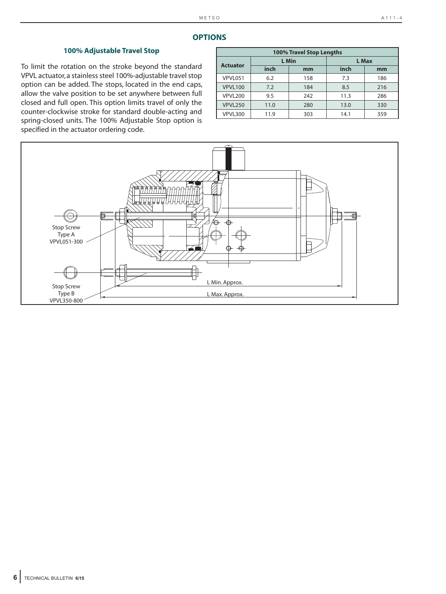# **OPTIONS**

# **100% Adjustable Travel Stop**

To limit the rotation on the stroke beyond the standard VPVL actuator, a stainless steel 100%-adjustable travel stop option can be added. The stops, located in the end caps, allow the valve position to be set anywhere between full closed and full open. This option limits travel of only the counter-clockwise stroke for standard double-acting and spring-closed units. The 100% Adjustable Stop option is specified in the actuator ordering code.

|                 |      | 100% Travel Stop Lengths |      |       |
|-----------------|------|--------------------------|------|-------|
| <b>Actuator</b> |      | L Min                    |      | L Max |
|                 | inch | mm                       | inch | mm    |
| VPVL051         | 6.2  | 158                      | 7.3  | 186   |
| <b>VPVL100</b>  | 7.2  | 184                      | 8.5  | 216   |
| VPVL200         | 9.5  | 242                      | 11.3 | 286   |
| <b>VPVL250</b>  | 11.0 | 280                      | 13.0 | 330   |
| VPVL300         | 11.9 | 303                      | 14.1 | 359   |

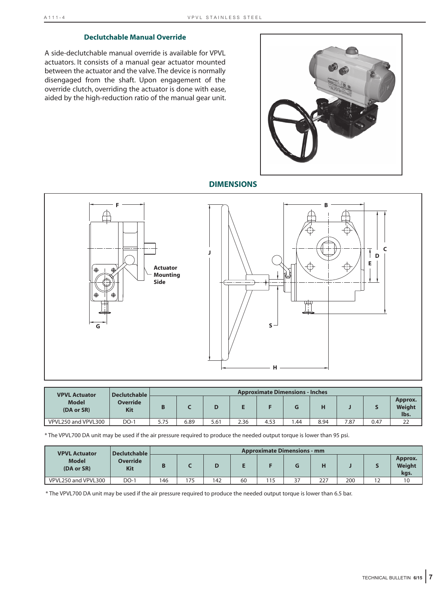# **Declutchable Manual Override**

A side-declutchable manual override is available for VPVL actuators. It consists of a manual gear actuator mounted between the actuator and the valve. The device is normally disengaged from the shaft. Upon engagement of the override clutch, overriding the actuator is done with ease, aided by the high-reduction ratio of the manual gear unit.



**DIMENSIONS**



| <b>VPVL Actuator</b>       | <b>Declutchable</b>    |      |      |      |      | <b>Approximate Dimensions - Inches</b> |     |      |      |      |                           |
|----------------------------|------------------------|------|------|------|------|----------------------------------------|-----|------|------|------|---------------------------|
| <b>Model</b><br>(DA or SR) | <b>Override</b><br>Kit |      |      |      |      |                                        |     |      |      |      | Approx.<br>Weight<br>lbs. |
| VPVL250 and VPVL300        | DO-1                   | 5.75 | 6.89 | 5.61 | 2.36 | 4.53                                   | .44 | 8.94 | 7.87 | 0.47 | つつ<br>∠∠                  |

\* The VPVL700 DA unit may be used if the air pressure required to produce the needed output torque is lower than 95 psi.

| <b>VPVL Actuator</b>       | Declutchable           |     |     |    |    |     | <b>Approximate Dimensions - mm</b> |     |     |                           |
|----------------------------|------------------------|-----|-----|----|----|-----|------------------------------------|-----|-----|---------------------------|
| <b>Model</b><br>(DA or SR) | <b>Override</b><br>Kit |     |     |    |    |     |                                    |     |     | Approx.<br>Weight<br>kgs. |
| VPVL250 and VPVL300        | $DO-1$                 | 146 | 175 | 42 | 60 | 115 | 27                                 | 227 | 200 |                           |

\* The VPVL700 DA unit may be used if the air pressure required to produce the needed output torque is lower than 6.5 bar.